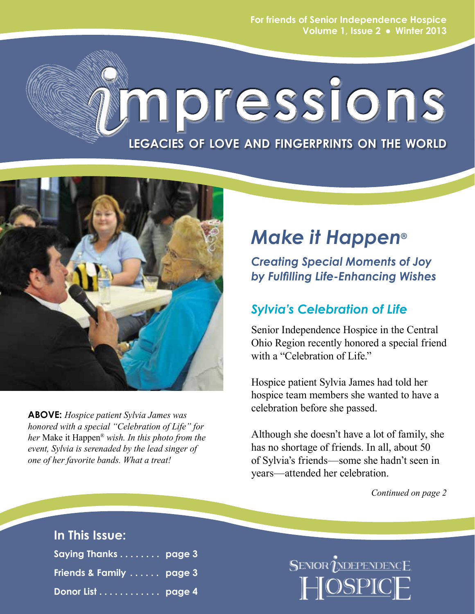**For friends of Senior Independence Hospice Volume 1, Issue 2 Winter 2013**

# **mpressions**

**legacies of love and fingerprints on the world**



**ABOVE:** *Hospice patient Sylvia James was honored with a special "Celebration of Life" for her* Make it Happen® *wish. In this photo from the event, Sylvia is serenaded by the lead singer of one of her favorite bands. What a treat!* 

# *Make it Happen***®**

*Creating Special Moments of Joy by Fulfilling Life-Enhancing Wishes*

## *Sylvia's Celebration of Life*

Senior Independence Hospice in the Central Ohio Region recently honored a special friend with a "Celebration of Life."

Hospice patient Sylvia James had told her hospice team members she wanted to have a celebration before she passed.

Although she doesn't have a lot of family, she has no shortage of friends. In all, about 50 of Sylvia's friends—some she hadn't seen in years—attended her celebration.

*Continued on page 2*

## **In This Issue:**

| Saying Thanks page 3     |  |
|--------------------------|--|
| Friends & Family  page 3 |  |
| Donor List page 4        |  |

SENIOR *UNDEPENDENCE*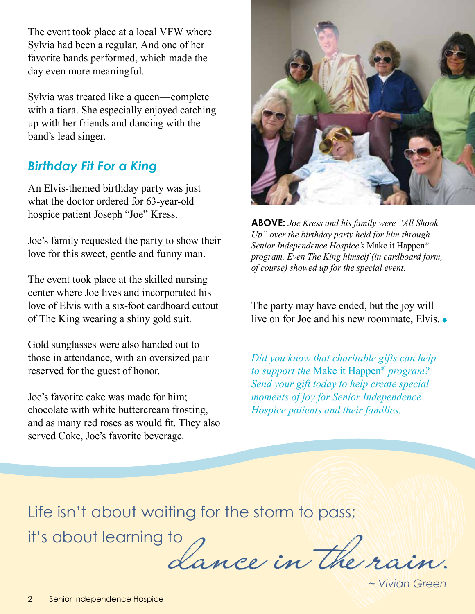The event took place at a local VFW where Sylvia had been a regular. And one of her favorite bands performed, which made the day even more meaningful.

Sylvia was treated like a queen—complete with a tiara. She especially enjoyed catching up with her friends and dancing with the band's lead singer.

## *Birthday Fit For a King*

An Elvis-themed birthday party was just what the doctor ordered for 63-year-old hospice patient Joseph "Joe" Kress.

Joe's family requested the party to show their love for this sweet, gentle and funny man.

The event took place at the skilled nursing center where Joe lives and incorporated his love of Elvis with a six-foot cardboard cutout of The King wearing a shiny gold suit.

Gold sunglasses were also handed out to those in attendance, with an oversized pair reserved for the guest of honor.

Joe's favorite cake was made for him; chocolate with white buttercream frosting, and as many red roses as would fit. They also served Coke, Joe's favorite beverage.



**ABOVE:** *Joe Kress and his family were "All Shook Up" over the birthday party held for him through Senior Independence Hospice's* Make it Happen® *program. Even The King himself (in cardboard form, of course) showed up for the special event.* 

The party may have ended, but the joy will live on for Joe and his new roommate, Elvis. •

*Did you know that charitable gifts can help to support the* Make it Happen® *program? Send your gift today to help create special moments of joy for Senior Independence Hospice patients and their families.*

Life isn't about waiting for the storm to pass;

it's about learning to

dance in the rain.

*~ Vivian Green*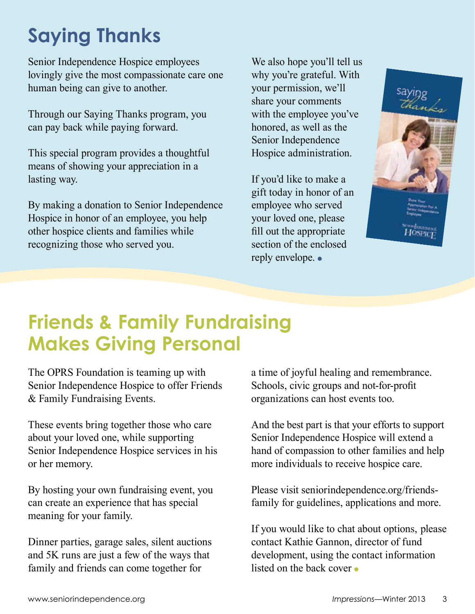# **Saying Thanks**

Senior Independence Hospice employees lovingly give the most compassionate care one human being can give to another.

Through our Saying Thanks program, you can pay back while paying forward.

This special program provides a thoughtful means of showing your appreciation in a lasting way.

By making a donation to Senior Independence Hospice in honor of an employee, you help other hospice clients and families while recognizing those who served you.

We also hope you'll tell us why you're grateful. With your permission, we'll share your comments with the employee you've honored, as well as the Senior Independence Hospice administration.

If you'd like to make a gift today in honor of an employee who served your loved one, please fill out the appropriate section of the enclosed reply envelope.



# **Friends & Family Fundraising Makes Giving Personal**

The OPRS Foundation is teaming up with Senior Independence Hospice to offer Friends & Family Fundraising Events.

These events bring together those who care about your loved one, while supporting Senior Independence Hospice services in his or her memory.

By hosting your own fundraising event, you can create an experience that has special meaning for your family.

Dinner parties, garage sales, silent auctions and 5K runs are just a few of the ways that family and friends can come together for

a time of joyful healing and remembrance. Schools, civic groups and not-for-profit organizations can host events too.

And the best part is that your efforts to support Senior Independence Hospice will extend a hand of compassion to other families and help more individuals to receive hospice care.

Please visit seniorindependence.org/friendsfamily for guidelines, applications and more.

If you would like to chat about options, please contact Kathie Gannon, director of fund development, using the contact information listed on the back cover •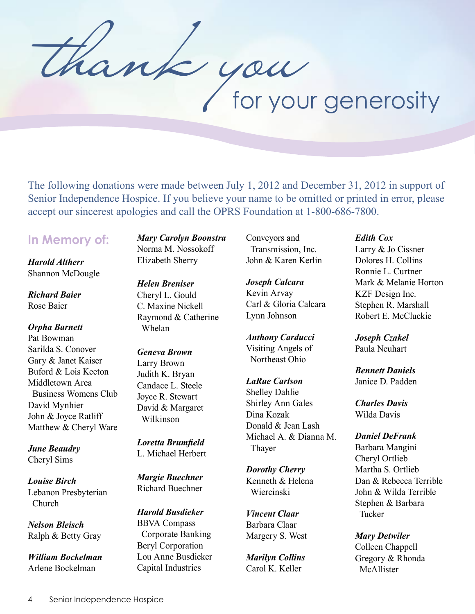thank you

The following donations were made between July 1, 2012 and December 31, 2012 in support of Senior Independence Hospice. If you believe your name to be omitted or printed in error, please accept our sincerest apologies and call the OPRS Foundation at 1-800-686-7800.

## **In Memory of:**

*Harold Altherr* Shannon McDougle

*Richard Baier* Rose Baier

*Orpha Barnett* Pat Bowman Sarilda S. Conover Gary & Janet Kaiser Buford & Lois Keeton Middletown Area Business Womens Club David Mynhier John & Joyce Ratliff Matthew & Cheryl Ware

*June Beaudry* Cheryl Sims

*Louise Birch* Lebanon Presbyterian Church

*Nelson Bleisch* Ralph & Betty Gray

*William Bockelman* Arlene Bockelman

*Mary Carolyn Boonstra* Norma M. Nossokoff Elizabeth Sherry

*Helen Breniser* Cheryl L. Gould C. Maxine Nickell Raymond & Catherine Whelan

*Geneva Brown* Larry Brown Judith K. Bryan Candace L. Steele Joyce R. Stewart David & Margaret Wilkinson

*Loretta Brumfield* L. Michael Herbert

*Margie Buechner* Richard Buechner

*Harold Busdieker* BBVA Compass Corporate Banking Beryl Corporation Lou Anne Busdieker Capital Industries

Conveyors and Transmission, Inc. John & Karen Kerlin

*Joseph Calcara* Kevin Arvay Carl & Gloria Calcara Lynn Johnson

*Anthony Carducci* Visiting Angels of Northeast Ohio

#### *LaRue Carlson*

Shelley Dahlie Shirley Ann Gales Dina Kozak Donald & Jean Lash Michael A. & Dianna M. Thayer

*Dorothy Cherry* Kenneth & Helena Wiercinski

*Vincent Claar* Barbara Claar Margery S. West

*Marilyn Collins* Carol K. Keller

#### *Edith Cox*

Larry & Jo Cissner Dolores H. Collins Ronnie L. Curtner Mark & Melanie Horton KZF Design Inc. Stephen R. Marshall Robert E. McCluckie

*Joseph Czakel* Paula Neuhart

*Bennett Daniels* Janice D. Padden

*Charles Davis* Wilda Davis

#### *Daniel DeFrank*

Barbara Mangini Cheryl Ortlieb Martha S. Ortlieb Dan & Rebecca Terrible John & Wilda Terrible Stephen & Barbara Tucker

*Mary Detwiler*

Colleen Chappell Gregory & Rhonda McAllister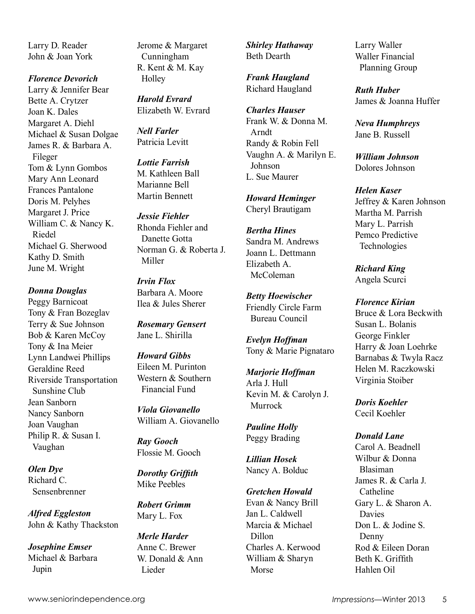Larry D. Reader John & Joan York

*Florence Devorich* Larry & Jennifer Bear Bette A. Crytzer Joan K. Dales Margaret A. Diehl Michael & Susan Dolgae James R. & Barbara A. Fileger Tom & Lynn Gombos Mary Ann Leonard Frances Pantalone Doris M. Pelyhes Margaret J. Price William C. & Nancy K. Riedel Michael G. Sherwood Kathy D. Smith June M. Wright

#### *Donna Douglas*

Peggy Barnicoat Tony & Fran Bozeglav Terry & Sue Johnson Bob & Karen McCoy Tony & Ina Meier Lynn Landwei Phillips Geraldine Reed Riverside Transportation Sunshine Club Jean Sanborn Nancy Sanborn Joan Vaughan Philip R. & Susan I. Vaughan

*Olen Dye* Richard C. Sensenbrenner

*Alfred Eggleston* John & Kathy Thackston

*Josephine Emser* Michael & Barbara Jupin

Jerome & Margaret Cunningham R. Kent & M. Kay **Holley** 

*Harold Evrard* Elizabeth W. Evrard

*Nell Farler* Patricia Levitt

*Lottie Farrish* M. Kathleen Ball Marianne Bell Martin Bennett

*Jessie Fiehler* Rhonda Fiehler and Danette Gotta Norman G. & Roberta J. Miller

*Irvin Flox* Barbara A. Moore Ilea & Jules Sherer

*Rosemary Gensert* Jane L. Shirilla

*Howard Gibbs* Eileen M. Purinton Western & Southern Financial Fund

*Viola Giovanello* William A. Giovanello

*Ray Gooch* Flossie M. Gooch

*Dorothy Griffith* Mike Peebles

*Robert Grimm* Mary L. Fox

*Merle Harder* Anne C. Brewer W. Donald & Ann Lieder

*Shirley Hathaway* Beth Dearth

*Frank Haugland* Richard Haugland

*Charles Hauser* Frank W. & Donna M. Arndt Randy & Robin Fell Vaughn A. & Marilyn E. Johnson L. Sue Maurer

*Howard Heminger* Cheryl Brautigam

*Bertha Hines* Sandra M. Andrews Joann L. Dettmann Elizabeth A. McColeman

*Betty Hoewischer* Friendly Circle Farm Bureau Council

*Evelyn Hoffman* Tony & Marie Pignataro

*Marjorie Hoffman* Arla J. Hull Kevin M. & Carolyn J. Murrock

*Pauline Holly* Peggy Brading

*Lillian Hosek* Nancy A. Bolduc

*Gretchen Howald* Evan & Nancy Brill Jan L. Caldwell Marcia & Michael Dillon Charles A. Kerwood William & Sharyn Morse

Larry Waller Waller Financial Planning Group

*Ruth Huber* James & Joanna Huffer

*Neva Humphreys* Jane B. Russell

*William Johnson* Dolores Johnson

*Helen Kaser* Jeffrey & Karen Johnson Martha M. Parrish Mary L. Parrish Pemco Predictive Technologies

*Richard King* Angela Scurci

*Florence Kirian* Bruce & Lora Beckwith Susan L. Bolanis George Finkler Harry & Joan Loehrke Barnabas & Twyla Racz Helen M. Raczkowski Virginia Stoiber

*Doris Koehler* Cecil Koehler

#### *Donald Lane*

Carol A. Beadnell Wilbur & Donna Blasiman James R. & Carla J. Catheline Gary L. & Sharon A. Davies Don L. & Jodine S. Denny Rod & Eileen Doran Beth K. Griffith Hahlen Oil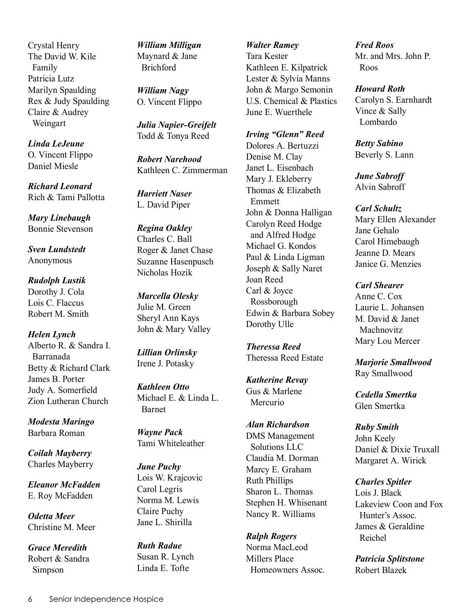Crystal Henry The David W. Kile Family Patricia Lutz Marilyn Spaulding Rex & Judy Spaulding Claire & Audrey Weingart

*Linda LeJeune* O. Vincent Flippo Daniel Miesle

*Richard Leonard* Rich & Tami Pallotta

*Mary Linebaugh* Bonnie Stevenson

*Sven Lundstedt* Anonymous

*Rudolph Lustik* Dorothy J. Cola Lois C. Flaccus Robert M. Smith

*Helen Lynch* Alberto R. & Sandra I. Barranada Betty & Richard Clark James B. Porter Judy A. Somerfield Zion Lutheran Church

*Modesta Maringo* Barbara Roman

*Coilah Mayberry* Charles Mayberry

*Eleanor McFadden* E. Roy McFadden

*Odetta Meer* Christine M. Meer

*Grace Meredith* Robert & Sandra Simpson

*William Milligan* Maynard & Jane Brichford

*William Nagy* O. Vincent Flippo

*Julia Napier-Greifelt* Todd & Tonya Reed

*Robert Narehood* Kathleen C. Zimmerman

*Harriett Naser* L. David Piper

*Regina Oakley* Charles C. Ball Roger & Janet Chase Suzanne Hasenpusch Nicholas Hozik

*Marcella Olesky* Julie M. Green Sheryl Ann Kays John & Mary Valley

*Lillian Orlinsky* Irene J. Potasky

*Kathleen Otto* Michael E. & Linda L. Barnet

*Wayne Pack* Tami Whiteleather

*June Puchy* Lois W. Krajcovic Carol Legris Norma M. Lewis Claire Puchy Jane L. Shirilla

*Ruth Radue* Susan R. Lynch Linda E. Tofte

*Walter Ramey* Tara Kester Kathleen E. Kilpatrick Lester & Sylvia Manns John & Margo Semonin U.S. Chemical & Plastics June E. Wuerthele

*Irving "Glenn" Reed* Dolores A. Bertuzzi

Denise M. Clay Janet L. Eisenbach Mary J. Ekleberry Thomas & Elizabeth Emmett John & Donna Halligan Carolyn Reed Hodge and Alfred Hodge Michael G. Kondos Paul & Linda Ligman Joseph & Sally Naret Joan Reed Carl & Joyce Rossborough Edwin & Barbara Sobey Dorothy Ulle

*Theressa Reed* Theressa Reed Estate

*Katherine Revay* Gus & Marlene Mercurio

*Alan Richardson* DMS Management Solutions LLC Claudia M. Dorman Marcy E. Graham Ruth Phillips Sharon L. Thomas Stephen H. Whisenant Nancy R. Williams

*Ralph Rogers* Norma MacLeod Millers Place Homeowners Assoc. *Fred Roos* Mr. and Mrs. John P. Roos

*Howard Roth*

Carolyn S. Earnhardt Vince & Sally Lombardo

*Betty Sabino*

Beverly S. Lann

*June Sabroff* Alvin Sabroff

*Carl Schultz*

Mary Ellen Alexander Jane Gehalo Carol Himebaugh Jeanne D. Mears Janice G. Menzies

*Carl Shearer*

Anne C. Cox Laurie L. Johansen M. David & Janet **Machnovitz** Mary Lou Mercer

*Marjorie Smallwood* Ray Smallwood

*Cedella Smertka* Glen Smertka

*Ruby Smith* John Keely Daniel & Dixie Truxall Margaret A. Wirick

*Charles Spitler* Lois J. Black Lakeview Coon and Fox Hunter's Assoc. James & Geraldine Reichel

*Patricia Splitstone* Robert Blazek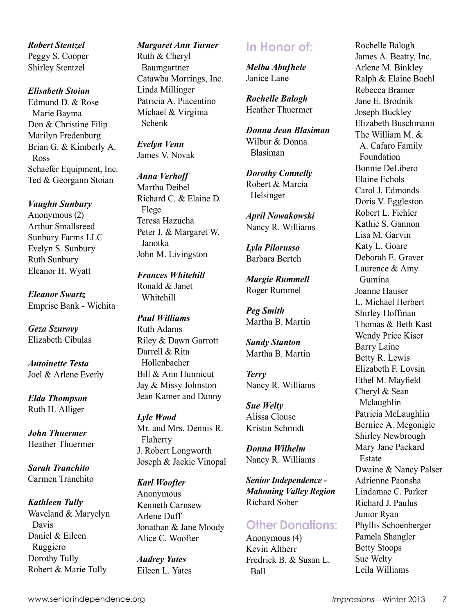*Robert Stentzel* Peggy S. Cooper Shirley Stentzel

#### *Elisabeth Stoian*

Edmund D. & Rose Marie Bayma Don & Christine Filip Marilyn Fredenburg Brian G. & Kimberly A. Ross Schaefer Equipment, Inc. Ted & Georgann Stoian

#### *Vaughn Sunbury*

Anonymous (2) Arthur Smallsreed Sunbury Farms LLC Evelyn S. Sunbury Ruth Sunbury Eleanor H. Wyatt

*Eleanor Swartz* Emprise Bank - Wichita

*Geza Szurovy* Elizabeth Cibulas

*Antoinette Testa* Joel & Arlene Everly

*Elda Thompson* Ruth H. Alliger

*John Thuermer* Heather Thuermer

*Sarah Tranchito* Carmen Tranchito

*Kathleen Tully* Waveland & Maryelyn Davis Daniel & Eileen Ruggiero Dorothy Tully Robert & Marie Tully

#### *Margaret Ann Turner*

Ruth & Cheryl Baumgartner Catawba Morrings, Inc. Linda Millinger Patricia A. Piacentino Michael & Virginia Schenk

*Evelyn Venn* James V. Novak

*Anna Verhoff* Martha Deibel Richard C. & Elaine D. Flege Teresa Hazucha Peter J. & Margaret W. Janotka John M. Livingston

*Frances Whitehill* Ronald & Janet Whitehill

#### *Paul Williams* Ruth Adams Riley & Dawn Garrott Darrell & Rita Hollenbacher Bill & Ann Hunnicut Jay & Missy Johnston Jean Kamer and Danny

*Lyle Wood* Mr. and Mrs. Dennis R. Flaherty J. Robert Longworth Joseph & Jackie Vinopal

#### *Karl Woofter*

Anonymous Kenneth Carnsew Arlene Duff Jonathan & Jane Moody Alice C. Woofter

*Audrey Yates* Eileen L. Yates

## **In Honor of:**

*Melba Abufhele* Janice Lane

*Rochelle Balogh* Heather Thuermer

*Donna Jean Blasiman* Wilbur & Donna Blasiman

*Dorothy Connelly* Robert & Marcia Helsinger

*April Nowakowski* Nancy R. Williams

*Lyla Pilorusso* Barbara Bertch

*Margie Rummell* Roger Rummel

*Peg Smith* Martha B. Martin

*Sandy Stanton* Martha B. Martin

*Terry* Nancy R. Williams

*Sue Welty* Alissa Clouse Kristin Schmidt

*Donna Wilhelm* Nancy R. Williams

*Senior Independence - Mahoning Valley Region* Richard Sober

## **Other Donations:**

Anonymous (4) Kevin Altherr Fredrick B. & Susan L. Ball

Rochelle Balogh James A. Beatty, Inc. Arlene M. Binkley Ralph & Elaine Boehl Rebecca Bramer Jane E. Brodnik Joseph Buckley Elizabeth Buschmann The William M. & A. Cafaro Family Foundation Bonnie DeLibero Elaine Echols Carol J. Edmonds Doris V. Eggleston Robert L. Fiehler Kathie S. Gannon Lisa M. Garvin Katy L. Goare Deborah E. Graver Laurence & Amy Gumina Joanne Hauser L. Michael Herbert Shirley Hoffman Thomas & Beth Kast Wendy Price Kiser Barry Laine Betty R. Lewis Elizabeth F. Lovsin Ethel M. Mayfield Cheryl & Sean Mclaughlin Patricia McLaughlin Bernice A. Megonigle Shirley Newbrough Mary Jane Packard Estate Dwaine & Nancy Palser Adrienne Paonsha Lindamae C. Parker Richard J. Paulus Junior Ryan Phyllis Schoenberger Pamela Shangler Betty Stoops Sue Welty

Leila Williams